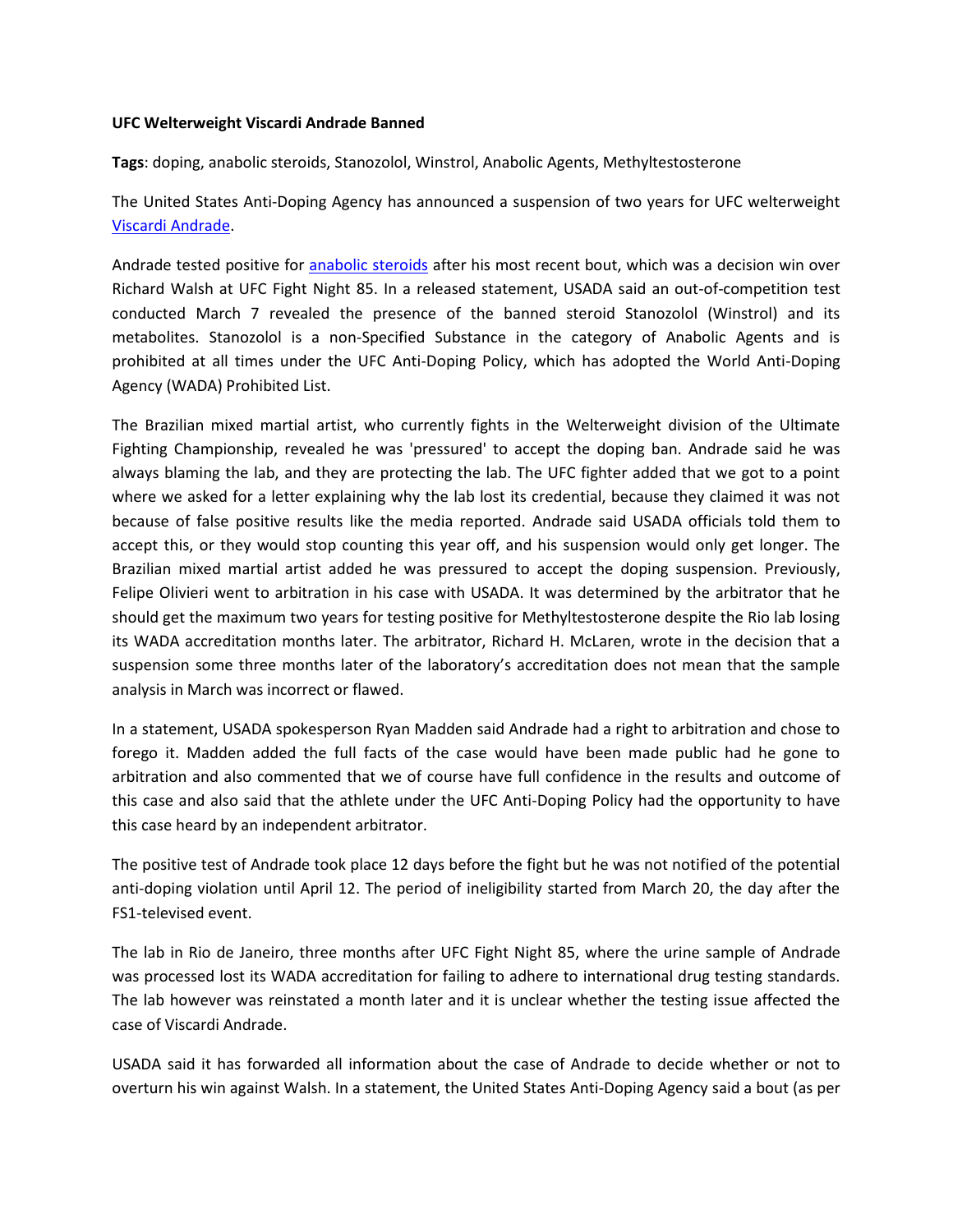## **UFC Welterweight Viscardi Andrade Banned**

**Tags**: doping, anabolic steroids, Stanozolol, Winstrol, Anabolic Agents, Methyltestosterone

The United States Anti-Doping Agency has announced a suspension of two years for UFC welterweight [Viscardi Andrade.](https://en.wikipedia.org/wiki/Viscardi_Andrade)

Andrade tested positive for [anabolic steroids](http://www.isteroids.com/) after his most recent bout, which was a decision win over Richard Walsh at UFC Fight Night 85. In a released statement, USADA said an out-of-competition test conducted March 7 revealed the presence of the banned steroid Stanozolol (Winstrol) and its metabolites. Stanozolol is a non-Specified Substance in the category of Anabolic Agents and is prohibited at all times under the UFC Anti-Doping Policy, which has adopted the World Anti-Doping Agency (WADA) Prohibited List.

The Brazilian mixed martial artist, who currently fights in the Welterweight division of the Ultimate Fighting Championship, revealed he was 'pressured' to accept the doping ban. Andrade said he was always blaming the lab, and they are protecting the lab. The UFC fighter added that we got to a point where we asked for a letter explaining why the lab lost its credential, because they claimed it was not because of false positive results like the media reported. Andrade said USADA officials told them to accept this, or they would stop counting this year off, and his suspension would only get longer. The Brazilian mixed martial artist added he was pressured to accept the doping suspension. Previously, Felipe Olivieri went to arbitration in his case with USADA. It was determined by the arbitrator that he should get the maximum two years for testing positive for Methyltestosterone despite the Rio lab losing its WADA accreditation months later. The arbitrator, Richard H. McLaren, wrote in the decision that a suspension some three months later of the laboratory's accreditation does not mean that the sample analysis in March was incorrect or flawed.

In a statement, USADA spokesperson Ryan Madden said Andrade had a right to arbitration and chose to forego it. Madden added the full facts of the case would have been made public had he gone to arbitration and also commented that we of course have full confidence in the results and outcome of this case and also said that the athlete under the UFC Anti-Doping Policy had the opportunity to have this case heard by an independent arbitrator.

The positive test of Andrade took place 12 days before the fight but he was not notified of the potential anti-doping violation until April 12. The period of ineligibility started from March 20, the day after the FS1-televised event.

The lab in Rio de Janeiro, three months after UFC Fight Night 85, where the urine sample of Andrade was processed lost its WADA accreditation for failing to adhere to international drug testing standards. The lab however was reinstated a month later and it is unclear whether the testing issue affected the case of Viscardi Andrade.

USADA said it has forwarded all information about the case of Andrade to decide whether or not to overturn his win against Walsh. In a statement, the United States Anti-Doping Agency said a bout (as per